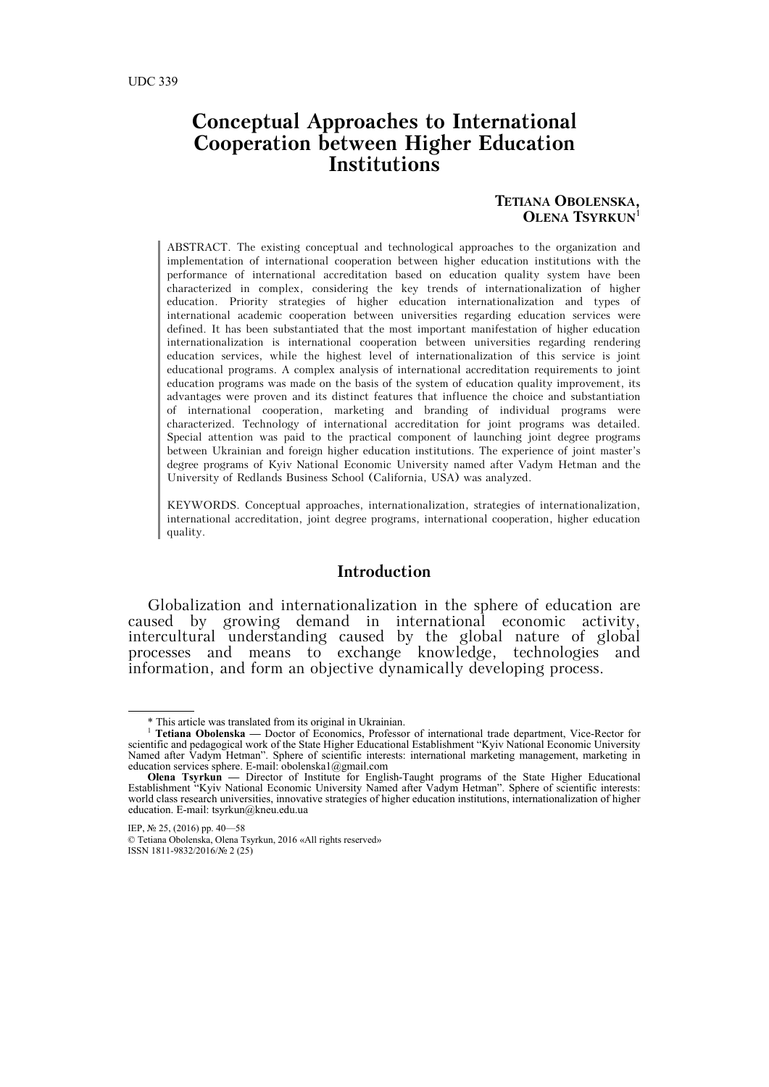### **Conceptual Approaches to International Cooperation between Higher Education Institutions**

### **TETIANA OBOLENSKA, OLENA TSYRKUN**<sup>1</sup>

ABSTRACT. The existing conceptual and technological approaches to the organization and implementation of international cooperation between higher education institutions with the performance of international accreditation based on education quality system have been characterized in complex, considering the key trends of internationalization of higher education. Priority strategies of higher education internationalization and types of international academic cooperation between universities regarding education services were defined. It has been substantiated that the most important manifestation of higher education internationalization is international cooperation between universities regarding rendering education services, while the highest level of internationalization of this service is joint educational programs. A complex analysis of international accreditation requirements to joint education programs was made on the basis of the system of education quality improvement, its advantages were proven and its distinct features that influence the choice and substantiation of international cooperation, marketing and branding of individual programs were characterized. Technology of international accreditation for joint programs was detailed. Special attention was paid to the practical component of launching joint degree programs between Ukrainian and foreign higher education institutions. The experience of joint master's degree programs of Kyiv National Economic University named after Vadym Hetman and the University of Redlands Business School (California, USA) was analyzed.

KEYWORDS. Conceptual approaches, internationalization, strategies of internationalization, international accreditation, joint degree programs, international cooperation, higher education quality.

### **Introduction**

Globalization and internationalization in the sphere of education are caused by growing demand in international economic activity, intercultural understanding caused by the global nature of global processes and means to exchange knowledge, technologies and information, and form an objective dynamically developing process.

 <sup>\*</sup> This article was translated from its original in Ukrainian.

<sup>1</sup> **Tetiana Obolenska —** Doctor of Economics, Professor of international trade department, Vice-Rector for scientific and pedagogical work of the State Higher Educational Establishment "Kyiv National Economic University Named after Vadym Hetman". Sphere of scientific interests: international marketing management, marketing in education services sphere. E-mail: obolenska1@gmail.com

**Olena Tsyrkun —** Director of Institute for English-Taught programs of the State Higher Educational Establishment "Kyiv National Economic University Named after Vadym Hetman". Sphere of scientific interests: world class research universities, innovative strategies of higher education institutions, internationalization of higher education. E-mail: tsyrkun@kneu.edu.ua

IEP, № 25, (2016) pp. 40—58

<sup>©</sup> Tetiana Obolenska, Olena Tsyrkun, 2016 «All rights reserved» ISSN 1811-9832/2016/№ 2 (25)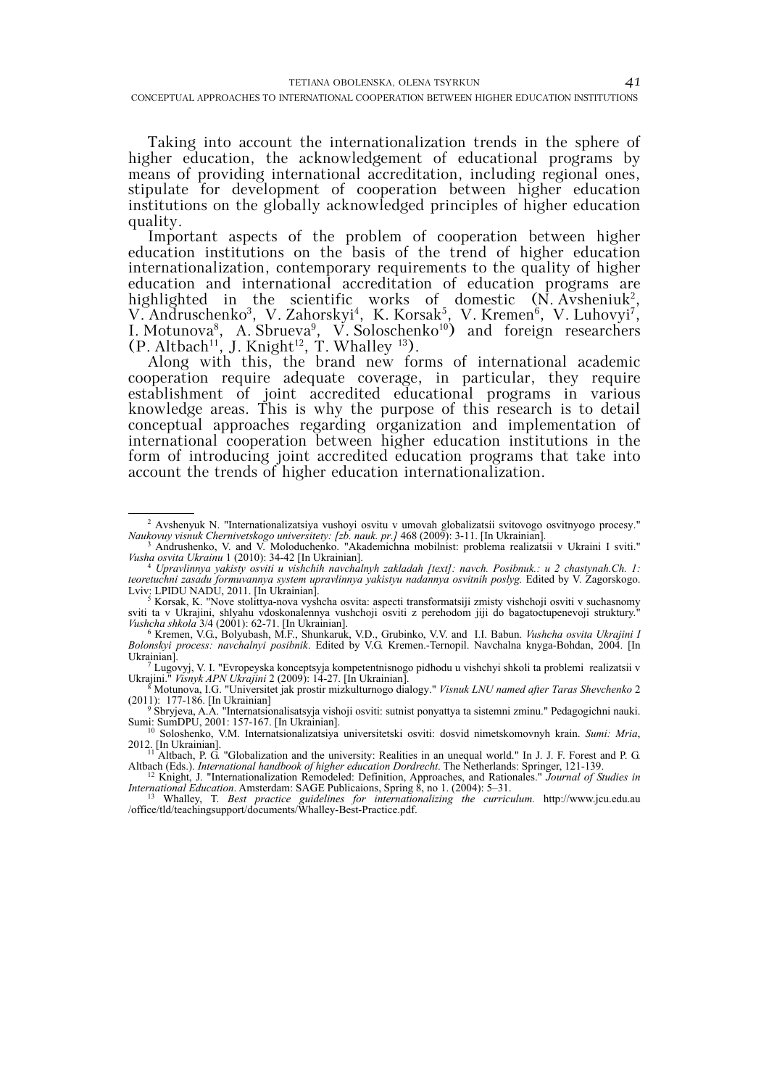Taking into account the internationalization trends in the sphere of higher education, the acknowledgement of educational programs by means of providing international accreditation, including regional ones, stipulate for development of cooperation between higher education institutions on the globally acknowledged principles of higher education quality.

Important aspects of the problem of cooperation between higher education institutions on the basis of the trend of higher education internationalization, contemporary requirements to the quality of higher education and international accreditation of education programs are highlighted in the scientific works of domestic  $(N. Avsheniuk<sup>2</sup>,$ V. Andruschenko<sup>3</sup>, V. Zahorskyi<sup>4</sup>, K. Korsak<sup>5</sup>, V. Kremen<sup>6</sup>, V. Luhovyi<sup>7</sup>, I. Motunova<sup>8</sup>, A. Sbrueva<sup>9</sup>, V. Soloschenko<sup>10</sup>) and foreign researchers  $(P. \text{Altbach}^{11}, \text{ J. Knight}^{12}, \text{T. Whalley}^{13}).$ 

Along with this, the brand new forms of international academic cooperation require adequate coverage, in particular, they require establishment of joint accredited educational programs in various knowledge areas. This is why the purpose of this research is to detail conceptual approaches regarding organization and implementation of international cooperation between higher education institutions in the form of introducing joint accredited education programs that take into account the trends of higher education internationalization.

*teoretuchni zasadu formuvannya system upravlinnya yakistyu nadannya osvitnih poslyg.* Edited by V. Zagorskogo. Lviv: LPIDU NADU, 2011. [In Ukrainian].<br>  $\frac{5 \text{ K} \text{ or } \text{c} \text{ K}}{5 \text{ K} \text{ or } \text{c} \text{ K}}$  "Nove stolitty pove yveh

 <sup>2</sup> Avshenyuk N. "Internationalizatsiya vushoyi osvitu v umovah globalizatsii svitovogo osvitnyogo procesy." *Naukovuy visnuk Chernivetskogo universitety: [zb. nauk. pr.]* 468 (2009): 3-11. [In Ukrainian]. 3 Andrushenko, V. and V. Moloduchenko. "Akademichna mobilnist: problema realizatsii v Ukraini I sviti."

*Vusha osvita Ukrainu* 1 (2010): 34-42 [In Ukrainian]. 4 *Upravlinnya yakisty osviti u vishchih navchalnyh zakladah [text]: navch. Posibnuk.: u 2 chastynah.Ch. 1:* 

Korsak, K. "Nove stolittya-nova vyshcha osvita: aspecti transformatsiji zmisty vishchoji osviti v suchasnomy sviti ta v Ukrajini, shlyahu vdoskonalennya vushchoji osviti z perehodom jiji do bagatoctupenevoji struktury.

*Vushcha shkola* 3/4 (2001): 62-71. [In Ukrainian]. 6 Kremen, V.G., Bolyubash, M.F., Shunkaruk, V.D., Grubinko, V.V. and I.I. Babun. *Vushcha osvita Ukrajini I Bolonskyi process: navchalnyi posibnik*. Edited by V.G. Kremen.-Ternopil. Navchalna knyga-Bohdan, 2004. [In Ukrainian].

<sup>&</sup>lt;sup>7</sup> Lugovyj, V. I. "Evropeyska konceptsyja kompetentnisnogo pidhodu u vishchyi shkoli ta problemi realizatsii v<br>Ukrajini." *Visnyk APN Ukrajini* 2 (2009): 14-27. [In Ukrainian]. Ukrajini." *Visnyk APN Ukrajini* 2 (2009): 14-27. [In Ukrainian].<br><sup>8</sup> Motunova, I.G. "Universitet jak prostir mizkulturnogo dialogy." *Visnuk LNU named after Taras Shevchenko* 2

<sup>(2011): 177-186. [</sup>In Ukrainian] 9 Sbryjeva, A.A. "Internatsionalisatsyja vishoji osviti: sutnist ponyattya ta sistemni zminu." Pedagogichni nauki.

Sumi: SumDPU, 2001: 157-167. [In Ukrainian].<br><sup>10</sup> Soloshenko, V.M. Internatsionalizatsiya universitetski osviti: dosvid nimetskomovnyh krain. *Sumi: Mria*, 2012. [In Ukrainian].<br><sup>11</sup> Altbach, P. G. "Globalization and the u

Altbach (Eds.). *International handbook of higher education Dordrecht*. The Netherlands: Springer, 121-139.<br><sup>12</sup> Knight, J. "Internationalization Remodeled: Definition, Approaches, and Rationales." *Journal of Studies in* 

II Knight, J. "Internationalization Remodeled: Definition, Approaches, and Rationales." Journal of Studies in<br>International Education. Amsterdam: SAGE Publicaions, Spring 8, no 1. (2004): 5–31.<br><sup>13</sup> Whalley, T. *Best pract* 

<sup>/</sup>office/tld/teachingsupport/documents/Whalley-Best-Practice.pdf.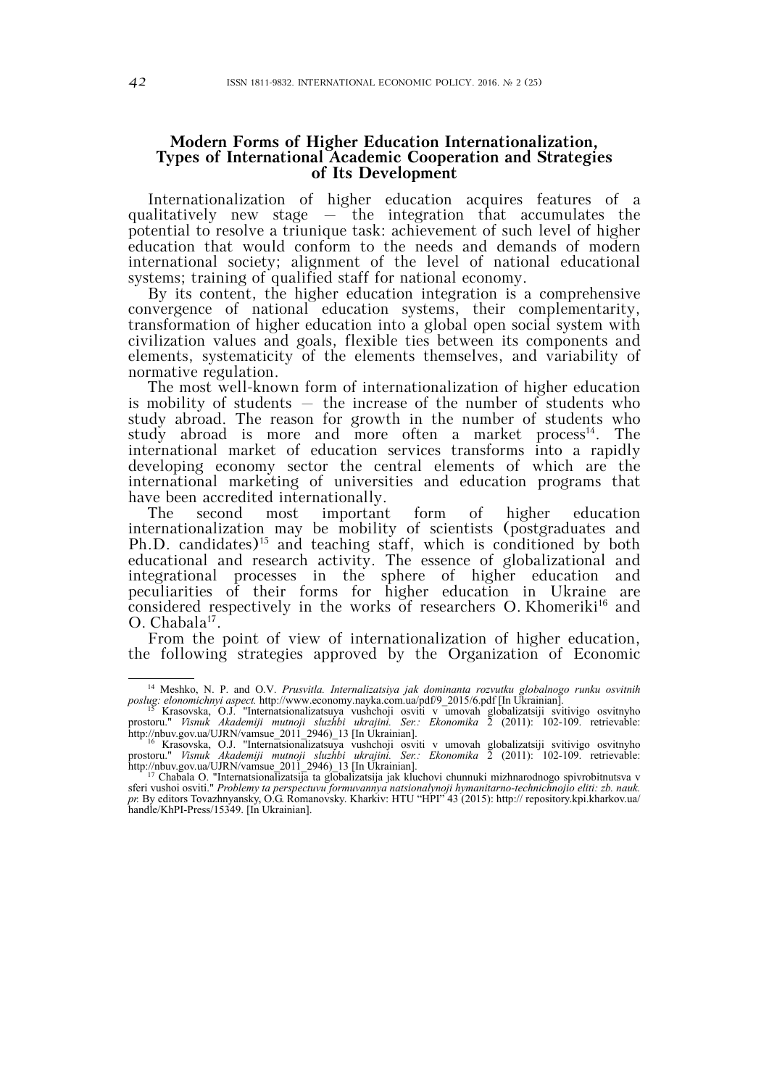## **Modern Forms of Higher Education Internationalization, Types of International Academic Cooperation and Strategies of Its Development**

Internationalization of higher education acquires features of a qualitatively new stage  $-$  the integration that accumulates the potential to resolve a triunique task: achievement of such level of higher education that would conform to the needs and demands of modern international society; alignment of the level of national educational systems; training of qualified staff for national economy.

By its content, the higher education integration is a comprehensive convergence of national education systems, their complementarity, transformation of higher education into a global open social system with civilization values and goals, flexible ties between its components and elements, systematicity of the elements themselves, and variability of normative regulation.

The most well-known form of internationalization of higher education is mobility of students – the increase of the number of students who study abroad. The reason for growth in the number of students who study abroad is more and more often a market process<sup>14</sup>. The international market of education services transforms into a rapidly developing economy sector the central elements of which are the international marketing of universities and education programs that have been accredited internationally.

The second most important form of higher education internationalization may be mobility of scientists (postgraduates and Ph.D. candidates)<sup>15</sup> and teaching staff, which is conditioned by both educational and research activity. The essence of globalizational and integrational processes in the sphere of higher education and peculiarities of their forms for higher education in Ukraine are considered respectively in the works of researchers O. Khomeriki<sup>16</sup> and O. Chabala<sup>17</sup>.

From the point of view of internationalization of higher education, the following strategies approved by the Organization of Economic

<sup>&</sup>lt;sup>14</sup> Meshko, N. P. and O.V. *Prusvitla. Internalizatsiya jak dominanta rozvutku globalnogo runku osvitnih poslug: elonomichnyi aspect. http://www.economy.nayka.com.ua/pdf/9\_2015/6.pdf [In Ukrainian]. poslug: elonomichnyi aspect.* http://www.economy.nayka.com.ua/pdf/9\_2015/6.pdf [In Ukrainian]. 15 Krasovska, O.J. "Internatsionalizatsuya vushchoji osviti v umovah globalizatsiji svitivigo osvitnyho

prostoru." *Visnuk Akademiji mutnoji sluzhbi ukrajini. Ser.: Ekonomika* 2 (2011): 102-109. retrievable:

http://nbuv.gov.ua/UJRN/vamsue\_2011\_2946)\_13 [In Ukrainian].<br><sup>16</sup> Krasovska, O.J. "Internatsionalizatsuya vushchoji osviti v umovah globalizatsiji svitivigo osvitnyho prostoru." *Visnuk Akademiji mutnoji sluzhbi ukrajini. Ser.: Ekonomika* 2 (2011): 102-109. retrievable:

http://nbuv.gov.ua/UJRN/vamsue\_2011\_2946)\_13 [In Ukrainian].<br><sup>17</sup> Chabala O. "Internatsionalizatsija ta globalizatsija jak kluchovi chunnuki mizhnarodnogo spivrobitnutsva v sferi vushoi osviti." *Problemy ta perspectuvu formuvannya natsionalynoji hymanitarno-technichnojio eliti: zb. nauk. pr.* By editors Tovazhnyansky, O.G. Romanovsky. Kharkiv: HTU "HPI" 43 (2015): http:// repository.kpi.kharkov.ua/ handle/KhPI-Press/15349. [In Ukrainian].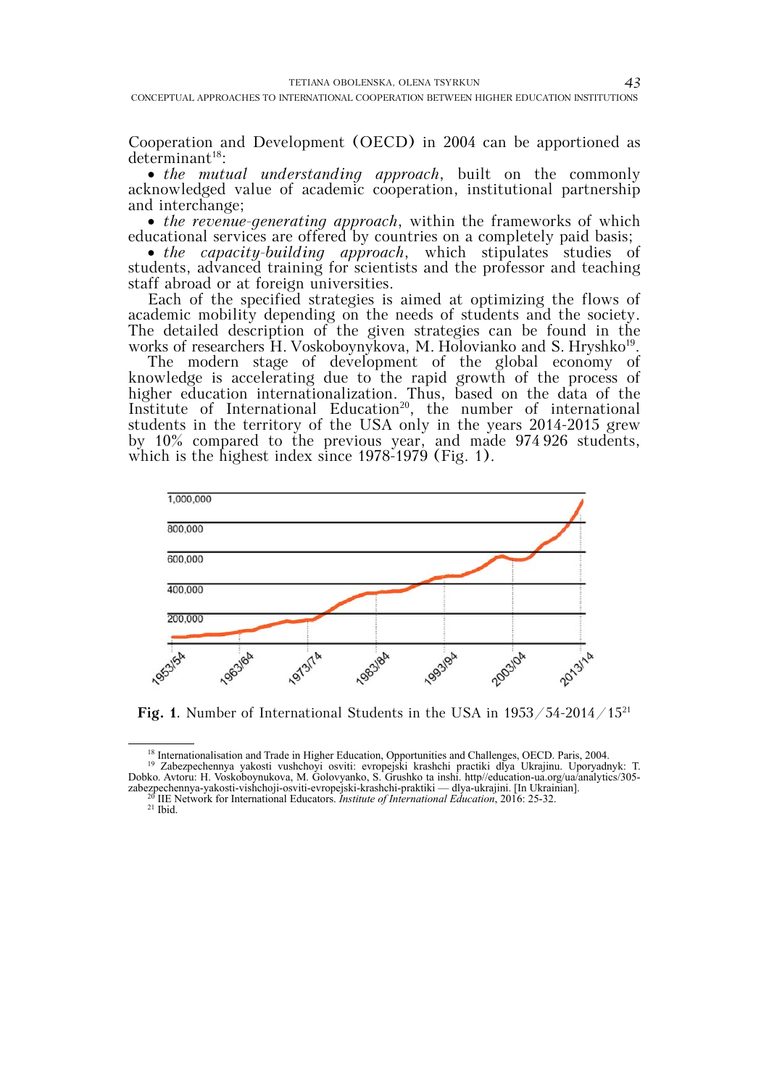Cooperation and Development (OECD) in 2004 can be apportioned as  $determinant<sup>18</sup>$ :

 *the mutual understanding approach*, built on the commonly acknowledged value of academic cooperation, institutional partnership and interchange;

 *the revenue-generating approach*, within the frameworks of which educational services are offered by countries on a completely paid basis;

 *the capacity-building approach*, which stipulates studies of students, advanced training for scientists and the professor and teaching staff abroad or at foreign universities.

Each of the specified strategies is aimed at optimizing the flows of academic mobility depending on the needs of students and the society. The detailed description of the given strategies can be found in the works of researchers H. Voskoboynykova, M. Holovianko and S. Hryshko<sup>19</sup>.

The modern stage of development of the global economy of knowledge is accelerating due to the rapid growth of the process of higher education internationalization. Thus, based on the data of the Institute of International Education<sup>20</sup>, the number of international students in the territory of the USA only in the years 2014-2015 grew by 10% compared to the previous year, and made 974 926 students, which is the highest index since 1978-1979 (Fig. 1).



Fig. 1. Number of International Students in the USA in  $1953/54-2014/15^{21}$ 

<sup>&</sup>lt;sup>18</sup> Internationalisation and Trade in Higher Education, Opportunities and Challenges, OECD. Paris, 2004. <sup>19</sup> Zabezpechennya yakosti vushchoyi osviti: evropejski krashchi practiki dlya Ukrajinu. Uporyadnyk: T. Dobko. Avtoru: H. Voskoboynukova, M. Golovyanko, S. Grushko ta inshi. http//education-ua.org/ua/analytics/305-

zabezpechennya-yakosti-vishchoji-osviti-evropejski-krashchi-praktiki — dlya-ukrajini. [In Ukrainian]. 20 IIE Network for International Educators. *Institute of International Education*, 2016: 25-32. 21 Ibid.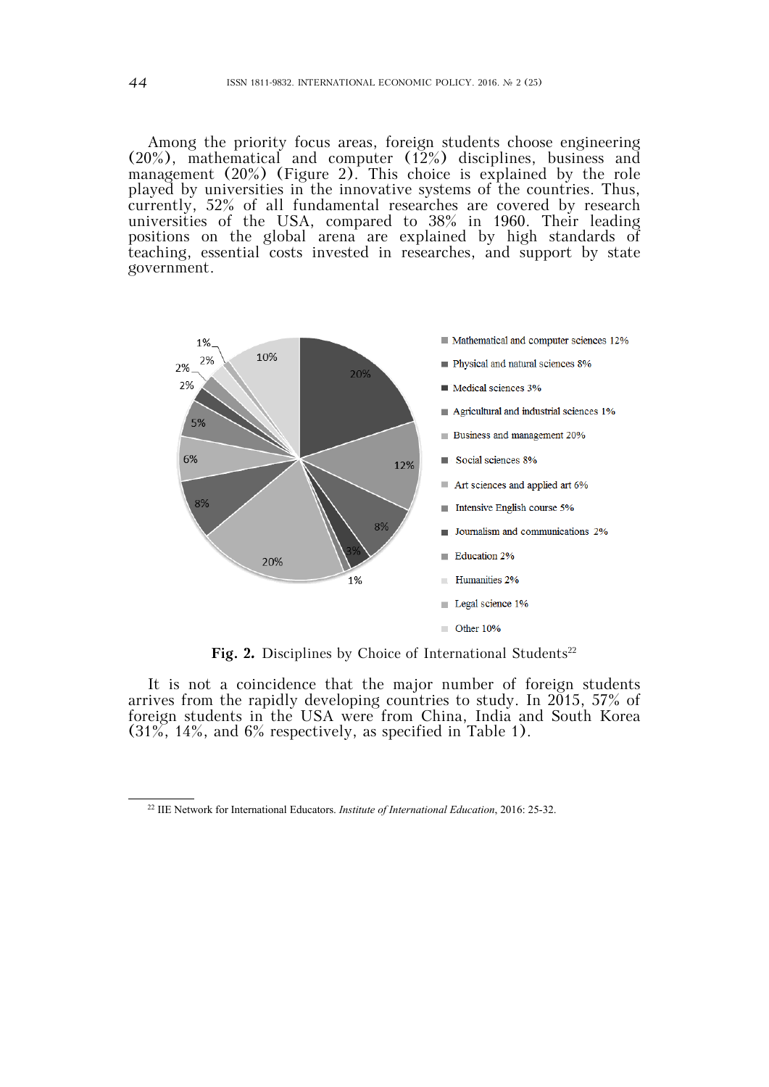Among the priority focus areas, foreign students choose engineering (20%), mathematical and computer (12%) disciplines, business and management (20%) (Figure 2). This choice is explained by the role played by universities in the innovative systems of the countries. Thus, currently, 52% of all fundamental researches are covered by research universities of the USA, compared to 38% in 1960. Their leading positions on the global arena are explained by high standards of teaching, essential costs invested in researches, and support by state government.



**Fig. 2.** Disciplines by Choice of International Students<sup>22</sup>

It is not a coincidence that the major number of foreign students arrives from the rapidly developing countries to study. In  $2015$ ,  $57\%$  of foreign students in the USA were from China, India and South Korea (31%, 14%, and 6% respectively, as specified in Table 1).

 <sup>22</sup> IIE Network for International Educators. *Institute of International Education*, 2016: 25-32.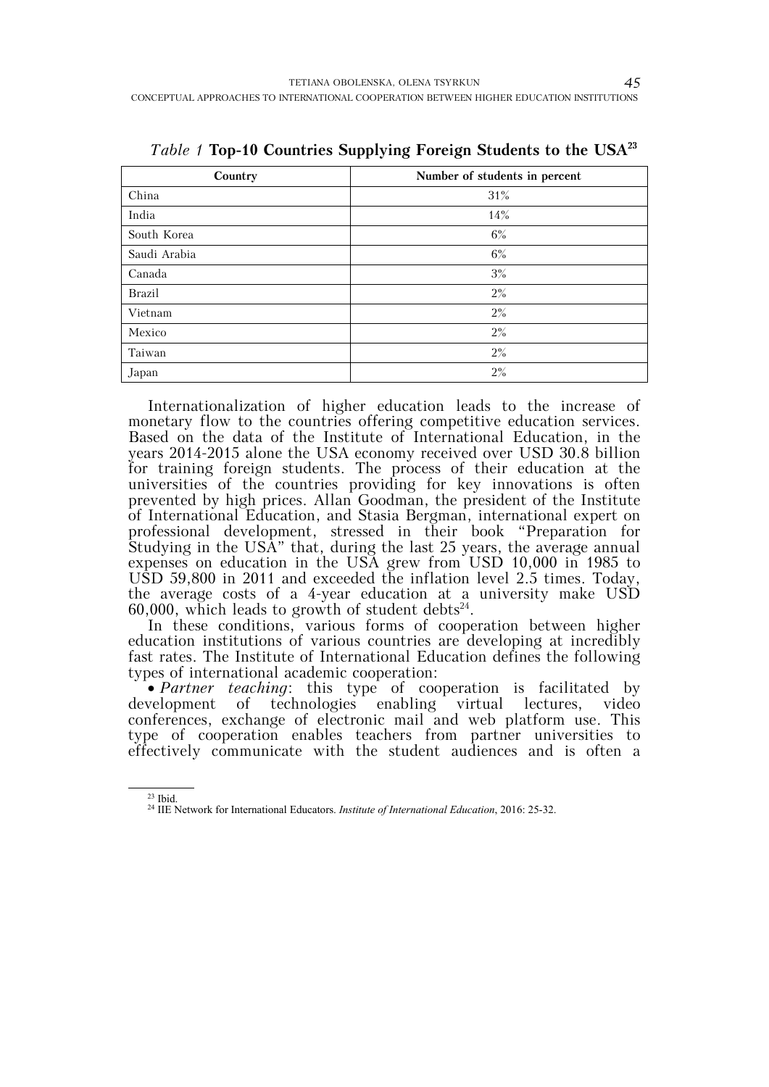| Country      | Number of students in percent |
|--------------|-------------------------------|
| China        | 31%                           |
| India        | 14%                           |
| South Korea  | 6%                            |
| Saudi Arabia | $6\%$                         |
| Canada       | 3%                            |
| Brazil       | 2%                            |
| Vietnam      | $2\%$                         |
| Mexico       | 2%                            |
| Taiwan       | 2%                            |
| Japan        | $2\%$                         |

*Table 1* **Top-10 Countries Supplying Foreign Students to the USA<sup>23</sup>** 

Internationalization of higher education leads to the increase of monetary flow to the countries offering competitive education services. Based on the data of the Institute of International Education, in the years 2014-2015 alone the USA economy received over USD 30.8 billion for training foreign students. The process of their education at the universities of the countries providing for key innovations is often prevented by high prices. Allan Goodman, the president of the Institute of International Education, and Stasia Bergman, international expert on professional development, stressed in their book "Preparation for Studying in the USA" that, during the last 25 years, the average annual expenses on education in the USA grew from USD 10,000 in 1985 to USD 59,800 in 2011 and exceeded the inflation level 2.5 times. Today, the average costs of a 4-year education at a university make USD 60,000, which leads to growth of student debts<sup>24</sup>.

In these conditions, various forms of cooperation between higher education institutions of various countries are developing at incredibly fast rates. The Institute of International Education defines the following types of international academic cooperation:

• *Partner teaching*: this type of cooperation is facilitated by development of technologies enabling virtual lectures, video technologies enabling virtual lectures, video conferences, exchange of electronic mail and web platform use. This type of cooperation enables teachers from partner universities to effectively communicate with the student audiences and is often a

 <sup>23</sup> Ibid. 24 IIE Network for International Educators. *Institute of International Education*, 2016: 25-32.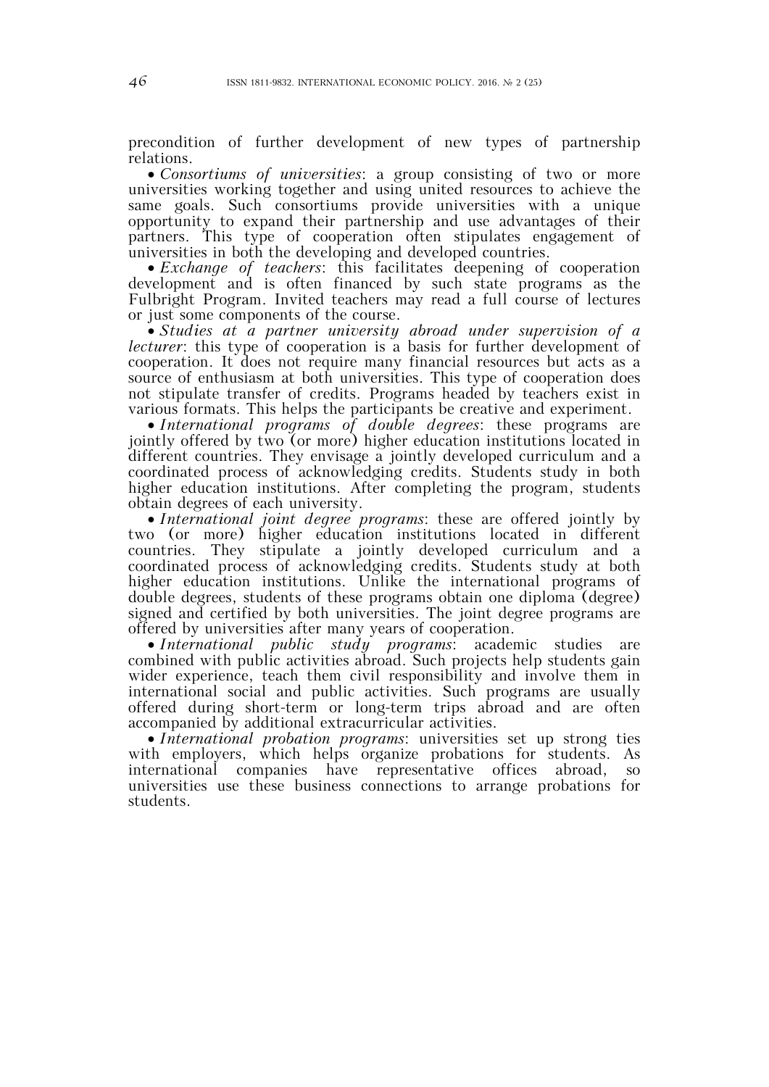precondition of further development of new types of partnership relations.

 *Consortiums of universities*: a group consisting of two or more universities working together and using united resources to achieve the same goals. Such consortiums provide universities with a unique opportunity to expand their partnership and use advantages of their partners. This type of cooperation often stipulates engagement of universities in both the developing and developed countries.

 *Exchange of teachers*: this facilitates deepening of cooperation development and is often financed by such state programs as the Fulbright Program. Invited teachers may read a full course of lectures or just some components of the course.

 *Studies at a partner university abroad under supervision of a lecturer*: this type of cooperation is a basis for further development of cooperation. It does not require many financial resources but acts as a source of enthusiasm at both universities. This type of cooperation does not stipulate transfer of credits. Programs headed by teachers exist in various formats. This helps the participants be creative and experiment.

 *International programs of double degrees*: these programs are jointly offered by two (or more) higher education institutions located in different countries. They envisage a jointly developed curriculum and a coordinated process of acknowledging credits. Students study in both higher education institutions. After completing the program, students obtain degrees of each university.

 *International joint degree programs*: these are offered jointly by two (or more) higher education institutions located in different countries. They stipulate a jointly developed curriculum and a coordinated process of acknowledging credits. Students study at both higher education institutions. Unlike the international programs of double degrees, students of these programs obtain one diploma (degree) signed and certified by both universities. The joint degree programs are offered by universities after many years of cooperation.

 *International public study programs*: academic studies are combined with public activities abroad. Such projects help students gain wider experience, teach them civil responsibility and involve them in international social and public activities. Such programs are usually offered during short-term or long-term trips abroad and are often accompanied by additional extracurricular activities.

 *International probation programs*: universities set up strong ties with employers, which helps organize probations for students. As international companies have representative offices abroad, so universities use these business connections to arrange probations for students.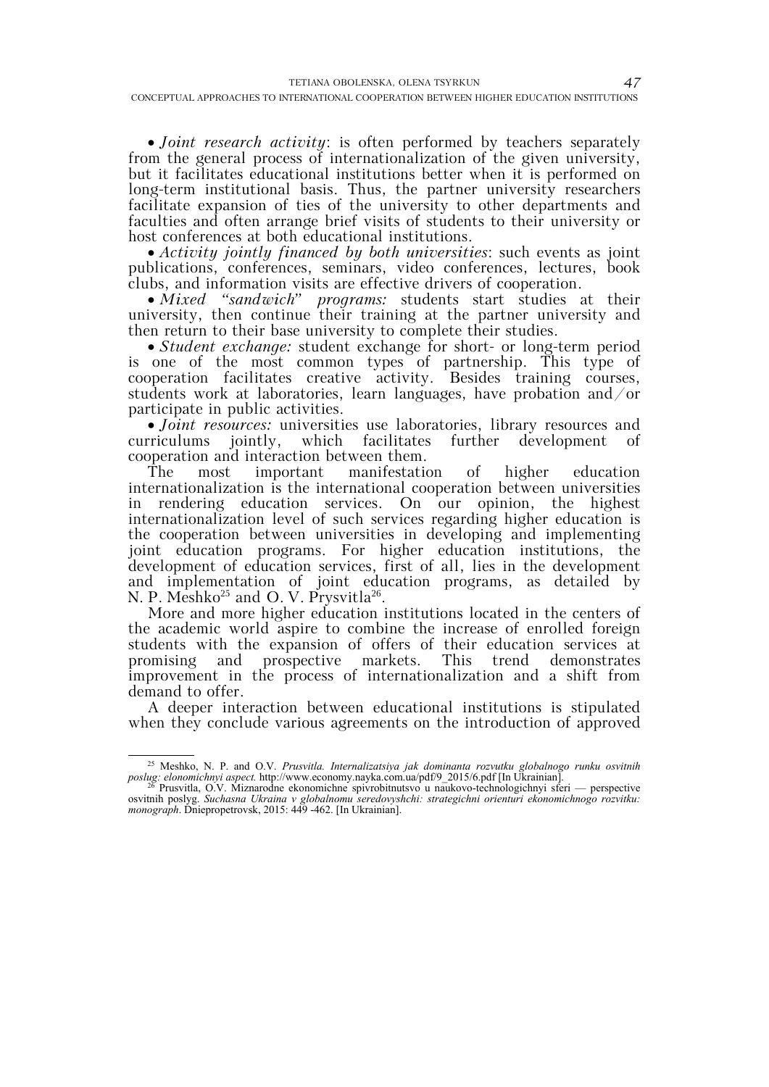*Joint research activity*: is often performed by teachers separately from the general process of internationalization of the given university, but it facilitates educational institutions better when it is performed on long-term institutional basis. Thus, the partner university researchers facilitate expansion of ties of the university to other departments and faculties and often arrange brief visits of students to their university or host conferences at both educational institutions.

 *Activity jointly financed by both universities*: such events as joint publications, conferences, seminars, video conferences, lectures, book clubs, and information visits are effective drivers of cooperation.

 *Mixed "sandwich" programs:* students start studies at their university, then continue their training at the partner university and then return to their base university to complete their studies.

 *Student exchange:* student exchange for short- or long-term period is one of the most common types of partnership. This type of cooperation facilitates creative activity. Besides training courses, students work at laboratories, learn languages, have probation and/or participate in public activities.

 *Joint resources:* universities use laboratories, library resources and curriculums jointly, which facilitates further development of cooperation and interaction between them.

The most important manifestation of higher education internationalization is the international cooperation between universities in rendering education services. On our opinion, the highest internationalization level of such services regarding higher education is the cooperation between universities in developing and implementing joint education programs. For higher education institutions, the development of education services, first of all, lies in the development and implementation of joint education programs, as detailed by N. P. Meshko<sup>25</sup> and O. V. Prysvitla<sup>26</sup>.

More and more higher education institutions located in the centers of the academic world aspire to combine the increase of enrolled foreign students with the expansion of offers of their education services at promising and prospective markets. This trend demonstrates improvement in the process of internationalization and a shift from demand to offer.

A deeper interaction between educational institutions is stipulated when they conclude various agreements on the introduction of approved

 <sup>25</sup> Meshko, N. P. and O.V. *Prusvitla. Internalizatsiya jak dominanta rozvutku globalnogo runku osvitnih poslug: elonomichnyi aspect.* http://www.economy.nayka.com.ua/pdf/9\_2015/6.pdf [In Ukrainian]. 26 Prusvitla, O.V. Miznarodne ekonomichne spivrobitnutsvo u naukovo-technologichnyi sferi — perspective

osvitnih poslyg. *Suchasna Ukraina v globalnomu seredovyshchi: strategichni orienturi ekonomichnogo rozvitku: monograph*. Dniepropetrovsk, 2015: 449 -462. [In Ukrainian].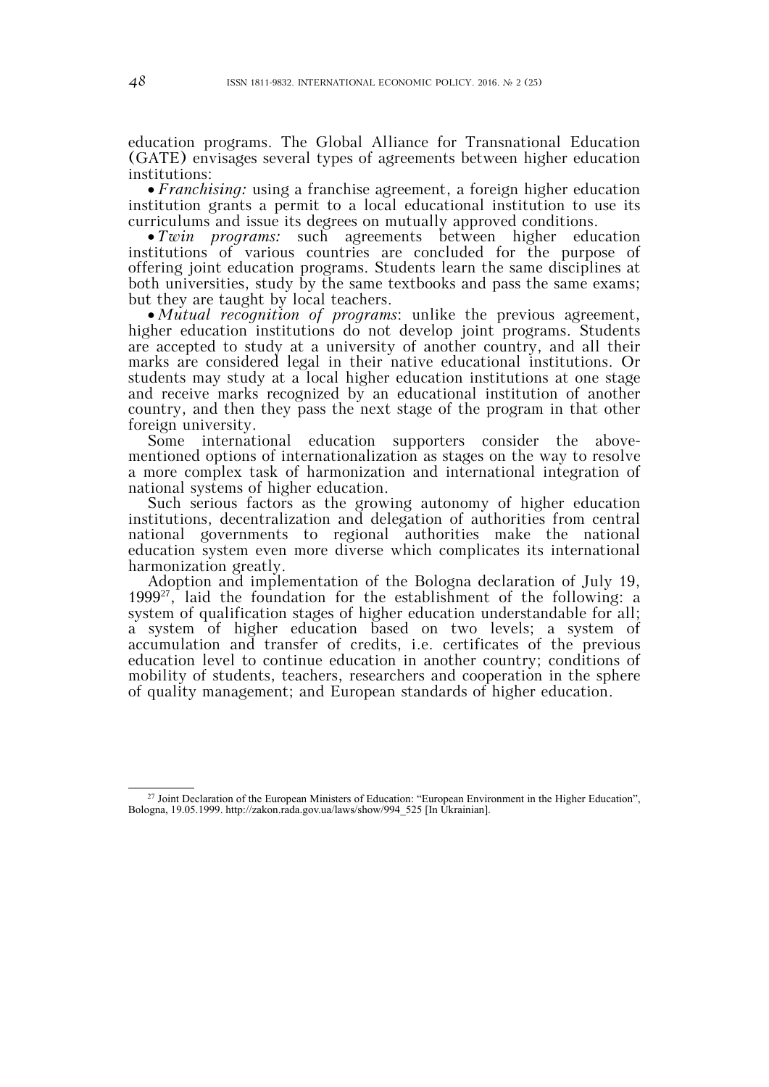education programs. The Global Alliance for Transnational Education (GATE) envisages several types of agreements between higher education institutions:

 *Franchising:* using a franchise agreement, a foreign higher education institution grants a permit to a local educational institution to use its curriculums and issue its degrees on mutually approved conditions.

 *Twin programs:* such agreements between higher education institutions of various countries are concluded for the purpose of offering joint education programs. Students learn the same disciplines at both universities, study by the same textbooks and pass the same exams; but they are taught by local teachers.

 *Mutual recognition of programs*: unlike the previous agreement, higher education institutions do not develop joint programs. Students are accepted to study at a university of another country, and all their marks are considered legal in their native educational institutions. Or students may study at a local higher education institutions at one stage and receive marks recognized by an educational institution of another country, and then they pass the next stage of the program in that other foreign university.

Some international education supporters consider the abovementioned options of internationalization as stages on the way to resolve a more complex task of harmonization and international integration of national systems of higher education.

Such serious factors as the growing autonomy of higher education institutions, decentralization and delegation of authorities from central national governments to regional authorities make the national education system even more diverse which complicates its international harmonization greatly.

Adoption and implementation of the Bologna declaration of July 19,  $1999^{27}$ , laid the foundation for the establishment of the following: a system of qualification stages of higher education understandable for all; a system of higher education based on two levels; a system of accumulation and transfer of credits, i.e. certificates of the previous education level to continue education in another country; conditions of mobility of students, teachers, researchers and cooperation in the sphere of quality management; and European standards of higher education.

<sup>&</sup>lt;sup>27</sup> Joint Declaration of the European Ministers of Education: "European Environment in the Higher Education", Bologna, 19.05.1999. http://zakon.rada.gov.ua/laws/show/994\_525 [In Ukrainian].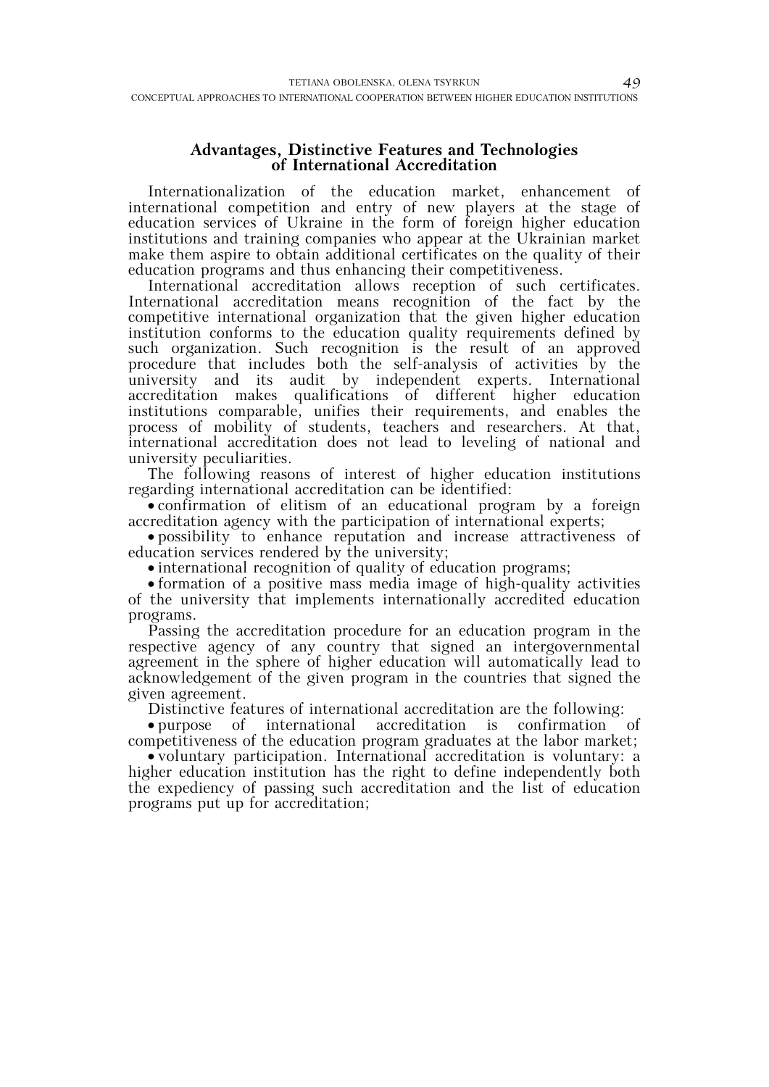# **Advantages, Distinctive Features and Technologies of International Accreditation**

Internationalization of the education market, enhancement of international competition and entry of new players at the stage of education services of Ukraine in the form of foreign higher education institutions and training companies who appear at the Ukrainian market make them aspire to obtain additional certificates on the quality of their education programs and thus enhancing their competitiveness.

International accreditation allows reception of such certificates. International accreditation means recognition of the fact by the competitive international organization that the given higher education institution conforms to the education quality requirements defined by such organization. Such recognition is the result of an approved procedure that includes both the self-analysis of activities by the university and its audit by independent experts. International accreditation makes qualifications of different higher education institutions comparable, unifies their requirements, and enables the process of mobility of students, teachers and researchers. At that, international accreditation does not lead to leveling of national and university peculiarities.

The following reasons of interest of higher education institutions regarding international accreditation can be identified:

 confirmation of elitism of an educational program by a foreign accreditation agency with the participation of international experts;

 possibility to enhance reputation and increase attractiveness of education services rendered by the university;

• international recognition of quality of education programs;

 formation of a positive mass media image of high-quality activities of the university that implements internationally accredited education programs.

Passing the accreditation procedure for an education program in the respective agency of any country that signed an intergovernmental agreement in the sphere of higher education will automatically lead to acknowledgement of the given program in the countries that signed the given agreement.

Distinctive features of international accreditation are the following:

 purpose of international accreditation is confirmation of competitiveness of the education program graduates at the labor market;

 voluntary participation. International accreditation is voluntary: a higher education institution has the right to define independently both the expediency of passing such accreditation and the list of education programs put up for accreditation;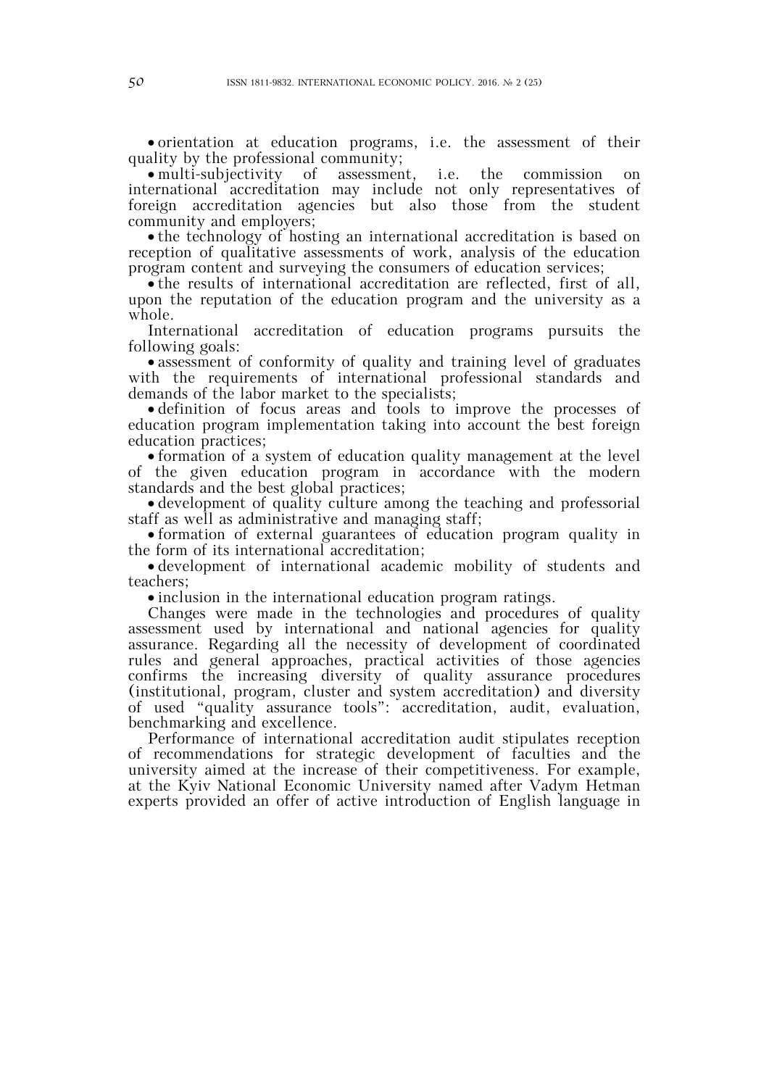orientation at education programs, i.e. the assessment of their quality by the professional community;<br>• multi-subjectivity of assessment,

 multi-subjectivity of assessment, i.e. the commission on international accreditation may include not only representatives of foreign accreditation agencies but also those from the student community and employers;

 the technology of hosting an international accreditation is based on reception of qualitative assessments of work, analysis of the education program content and surveying the consumers of education services;

 the results of international accreditation are reflected, first of all, upon the reputation of the education program and the university as a whole.

International accreditation of education programs pursuits the following goals:

 assessment of conformity of quality and training level of graduates with the requirements of international professional standards and demands of the labor market to the specialists;

 definition of focus areas and tools to improve the processes of education program implementation taking into account the best foreign education practices;

 formation of a system of education quality management at the level of the given education program in accordance with the modern standards and the best global practices;

 development of quality culture among the teaching and professorial staff as well as administrative and managing staff;

 formation of external guarantees of education program quality in the form of its international accreditation;

 development of international academic mobility of students and teachers;

• inclusion in the international education program ratings.

Changes were made in the technologies and procedures of quality assessment used by international and national agencies for quality assurance. Regarding all the necessity of development of coordinated rules and general approaches, practical activities of those agencies confirms the increasing diversity of quality assurance procedures (institutional, program, cluster and system accreditation) and diversity of used "quality assurance tools": accreditation, audit, evaluation, benchmarking and excellence.

Performance of international accreditation audit stipulates reception of recommendations for strategic development of faculties and the university aimed at the increase of their competitiveness. For example, at the Kyiv National Economic University named after Vadym Hetman experts provided an offer of active introduction of English language in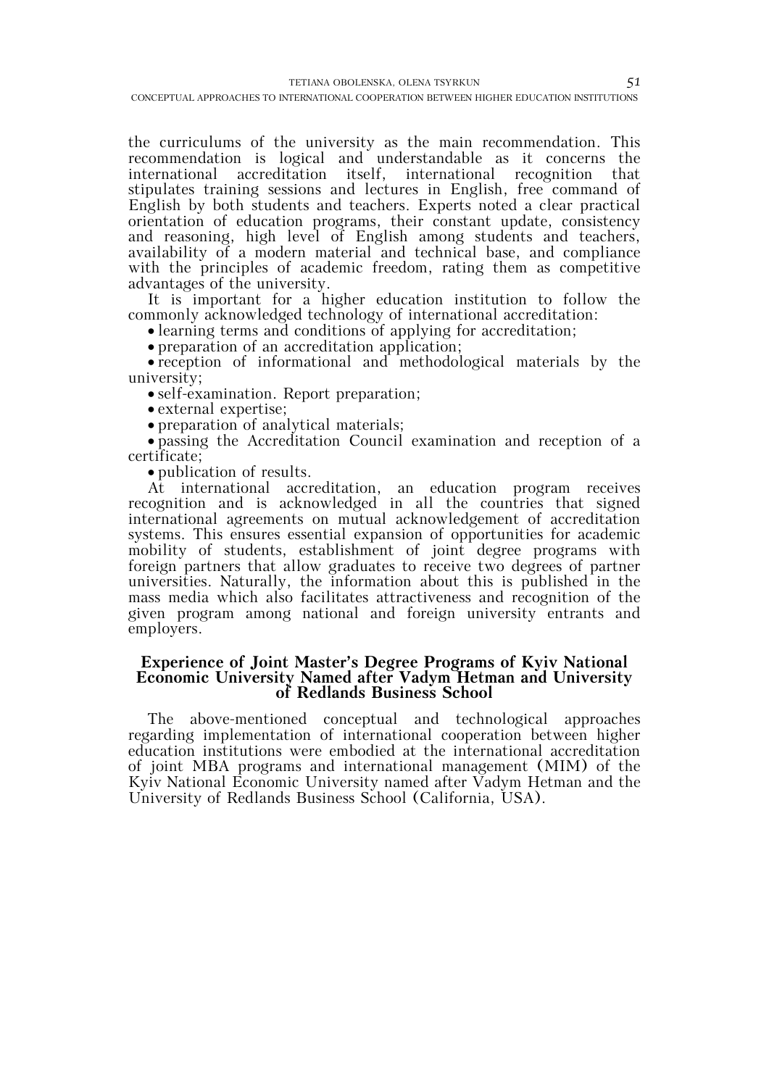the curriculums of the university as the main recommendation. This recommendation is logical and understandable as it concerns the international accreditation itself, international recognition that stipulates training sessions and lectures in English, free command of English by both students and teachers. Experts noted a clear practical orientation of education programs, their constant update, consistency and reasoning, high level of English among students and teachers, availability of a modern material and technical base, and compliance with the principles of academic freedom, rating them as competitive advantages of the university.

It is important for a higher education institution to follow the commonly acknowledged technology of international accreditation:

learning terms and conditions of applying for accreditation;

preparation of an accreditation application;

 reception of informational and methodological materials by the university;

self-examination. Report preparation;

external expertise;

preparation of analytical materials;

 passing the Accreditation Council examination and reception of a certificate;

publication of results.

At international accreditation, an education program receives recognition and is acknowledged in all the countries that signed international agreements on mutual acknowledgement of accreditation systems. This ensures essential expansion of opportunities for academic mobility of students, establishment of joint degree programs with foreign partners that allow graduates to receive two degrees of partner universities. Naturally, the information about this is published in the mass media which also facilitates attractiveness and recognition of the given program among national and foreign university entrants and employers.

# **Experience of Joint Master's Degree Programs of Kyiv National Economic University Named after Vadym Hetman and University of Redlands Business School**

The above-mentioned conceptual and technological approaches regarding implementation of international cooperation between higher education institutions were embodied at the international accreditation of joint MBA programs and international management (MIM) of the Kyiv National Economic University named after Vadym Hetman and the University of Redlands Business School (California, USA).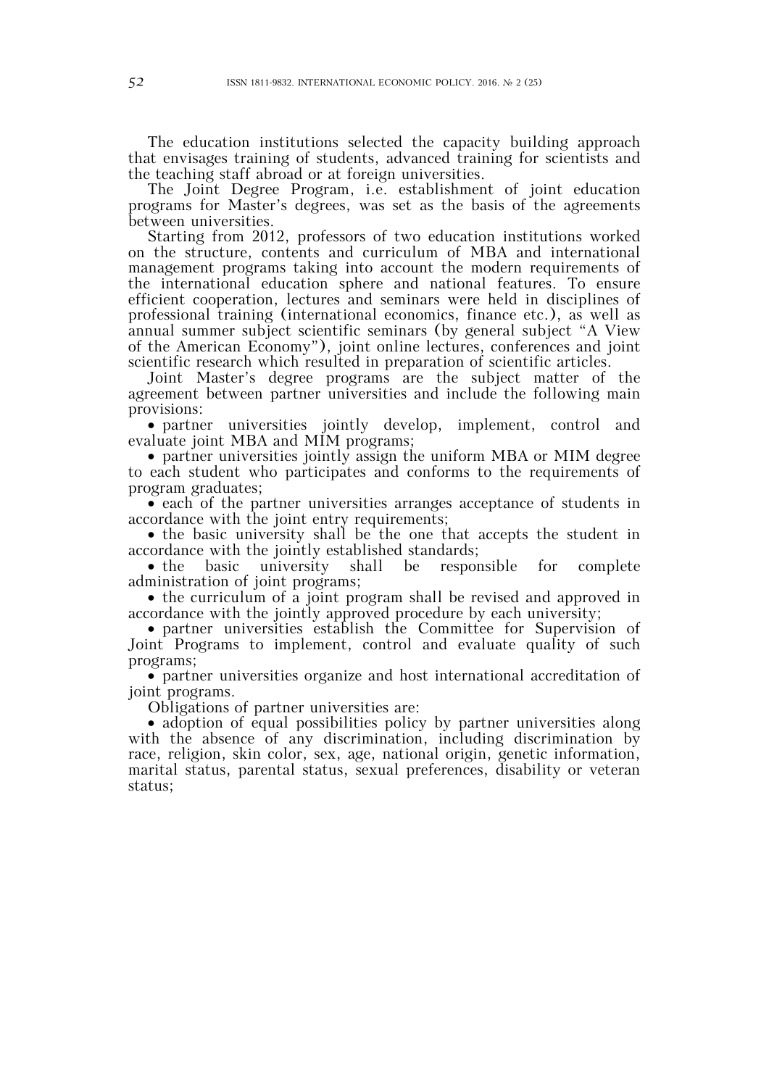The education institutions selected the capacity building approach that envisages training of students, advanced training for scientists and the teaching staff abroad or at foreign universities.

The Joint Degree Program, i.e. establishment of joint education programs for Master's degrees, was set as the basis of the agreements between universities.

Starting from 2012, professors of two education institutions worked on the structure, contents and curriculum of MBA and international management programs taking into account the modern requirements of the international education sphere and national features. To ensure efficient cooperation, lectures and seminars were held in disciplines of professional training (international economics, finance etc.), as well as annual summer subject scientific seminars (by general subject "A View of the American Economy"), joint online lectures, conferences and joint scientific research which resulted in preparation of scientific articles.

Joint Master's degree programs are the subject matter of the agreement between partner universities and include the following main provisions:

 partner universities jointly develop, implement, control and evaluate joint MBA and MIM programs;

• partner universities jointly assign the uniform MBA or MIM degree to each student who participates and conforms to the requirements of program graduates;

 each of the partner universities arranges acceptance of students in accordance with the joint entry requirements;

 the basic university shall be the one that accepts the student in accordance with the jointly established standards;

• the basic university shall be responsible for complete administration of joint programs;

 the curriculum of a joint program shall be revised and approved in accordance with the jointly approved procedure by each university;

 partner universities establish the Committee for Supervision of Joint Programs to implement, control and evaluate quality of such programs;

 partner universities organize and host international accreditation of joint programs.

Obligations of partner universities are:

• adoption of equal possibilities policy by partner universities along with the absence of any discrimination, including discrimination by race, religion, skin color, sex, age, national origin, genetic information, marital status, parental status, sexual preferences, disability or veteran status;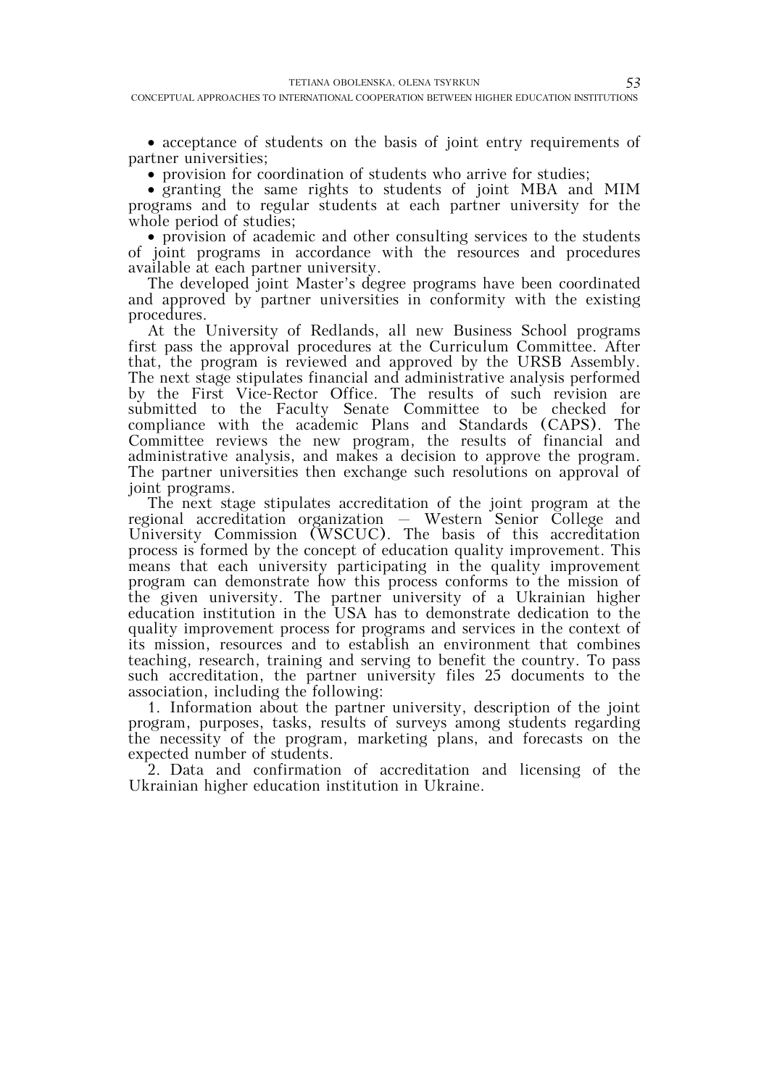TETIANA OBOLENSKA, OLENA TSYRKUN 53

 acceptance of students on the basis of joint entry requirements of partner universities;

• provision for coordination of students who arrive for studies;

 granting the same rights to students of joint MBA and MIM programs and to regular students at each partner university for the whole period of studies;

 provision of academic and other consulting services to the students of joint programs in accordance with the resources and procedures available at each partner university.

The developed joint Master's degree programs have been coordinated and approved by partner universities in conformity with the existing procedures.

At the University of Redlands, all new Business School programs first pass the approval procedures at the Curriculum Committee. After that, the program is reviewed and approved by the URSB Assembly. The next stage stipulates financial and administrative analysis performed by the First Vice-Rector Office. The results of such revision are submitted to the Faculty Senate Committee to be checked for compliance with the academic Plans and Standards (CAPS). The Committee reviews the new program, the results of financial and administrative analysis, and makes a decision to approve the program. The partner universities then exchange such resolutions on approval of joint programs.

The next stage stipulates accreditation of the joint program at the regional accreditation organization – Western Senior College and University Commission (WSCUC). The basis of this accreditation process is formed by the concept of education quality improvement. This means that each university participating in the quality improvement program can demonstrate how this process conforms to the mission of the given university. The partner university of a Ukrainian higher education institution in the USA has to demonstrate dedication to the quality improvement process for programs and services in the context of its mission, resources and to establish an environment that combines teaching, research, training and serving to benefit the country. To pass such accreditation, the partner university files 25 documents to the association, including the following:

1. Information about the partner university, description of the joint program, purposes, tasks, results of surveys among students regarding the necessity of the program, marketing plans, and forecasts on the expected number of students.

2. Data and confirmation of accreditation and licensing of the Ukrainian higher education institution in Ukraine.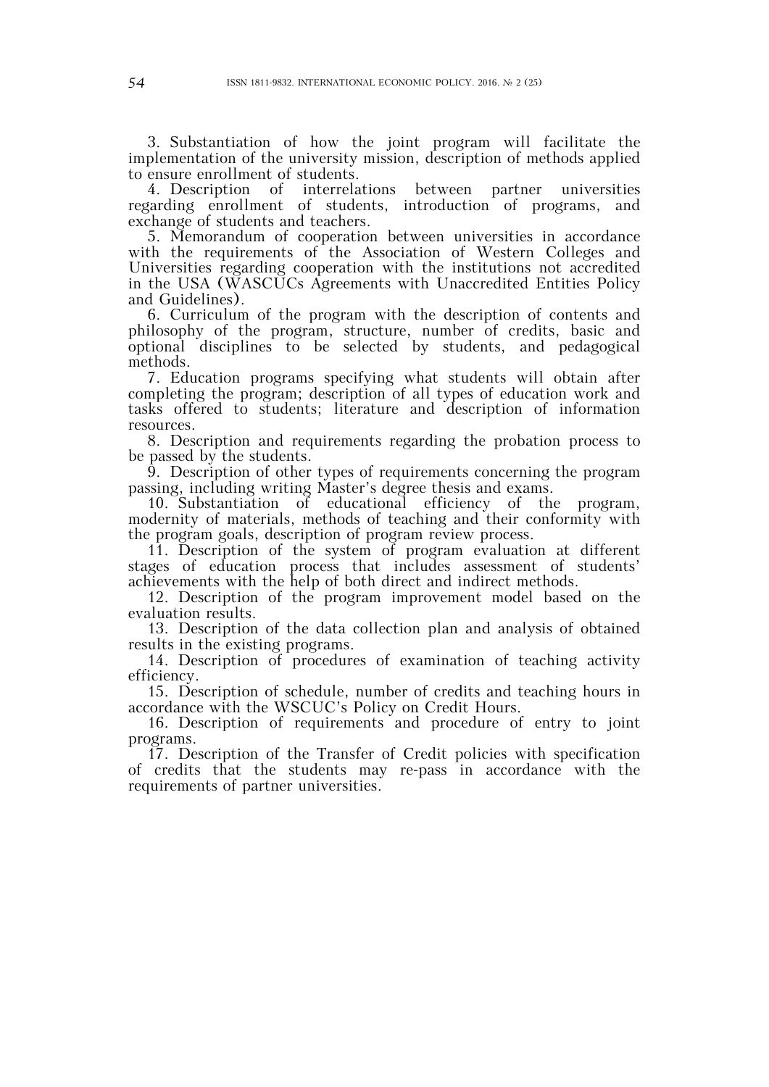3. Substantiation of how the joint program will facilitate the implementation of the university mission, description of methods applied to ensure enrollment of students.

4. Description of interrelations between partner universities regarding enrollment of students, introduction of programs, and exchange of students and teachers.

5. Memorandum of cooperation between universities in accordance with the requirements of the Association of Western Colleges and Universities regarding cooperation with the institutions not accredited in the USA (WASCUCs Agreements with Unaccredited Entities Policy and Guidelines).

6. Curriculum of the program with the description of contents and philosophy of the program, structure, number of credits, basic and optional disciplines to be selected by students, and pedagogical methods.

7. Education programs specifying what students will obtain after completing the program; description of all types of education work and tasks offered to students; literature and description of information resources.

8. Description and requirements regarding the probation process to be passed by the students.

9. Description of other types of requirements concerning the program passing, including writing Master's degree thesis and exams.

10. Substantiation of educational efficiency of the program, modernity of materials, methods of teaching and their conformity with the program goals, description of program review process.

11. Description of the system of program evaluation at different stages of education process that includes assessment of students' achievements with the help of both direct and indirect methods.

12. Description of the program improvement model based on the evaluation results.

13. Description of the data collection plan and analysis of obtained results in the existing programs.

14. Description of procedures of examination of teaching activity efficiency.

15. Description of schedule, number of credits and teaching hours in accordance with the WSCUC's Policy on Credit Hours.

16. Description of requirements and procedure of entry to joint programs.

17. Description of the Transfer of Credit policies with specification of credits that the students may re-pass in accordance with the requirements of partner universities.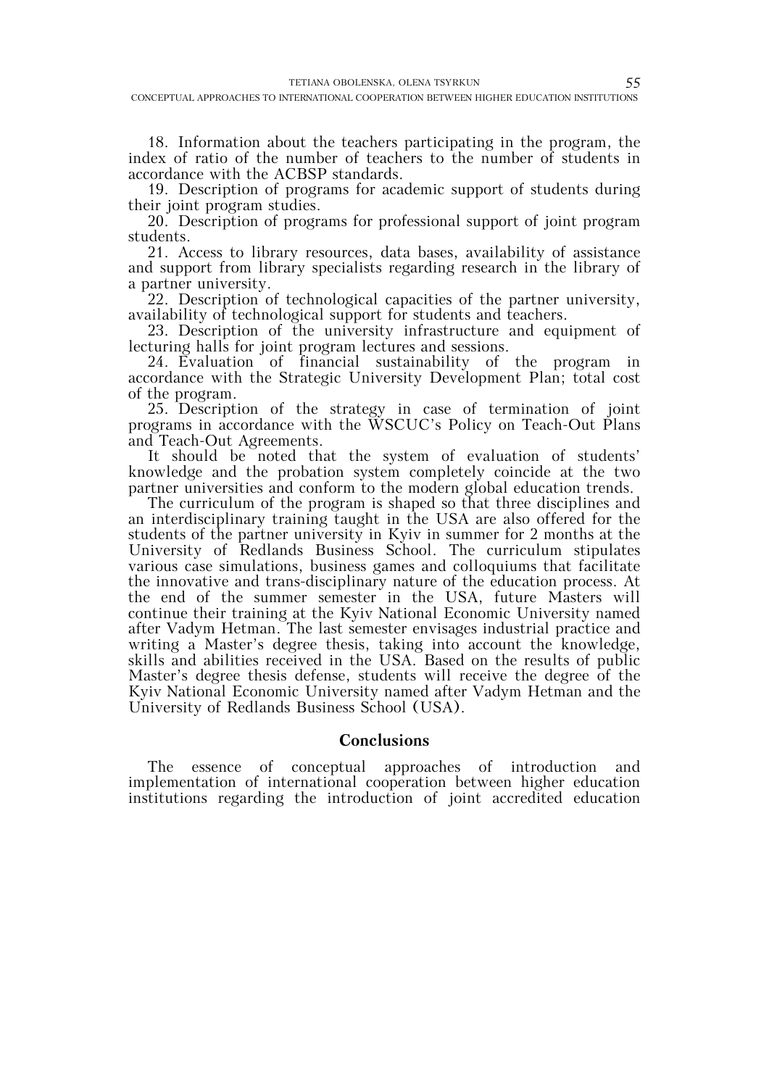18. Information about the teachers participating in the program, the index of ratio of the number of teachers to the number of students in accordance with the ACBSP standards.

19. Description of programs for academic support of students during their joint program studies.

20. Description of programs for professional support of joint program students.

21. Access to library resources, data bases, availability of assistance and support from library specialists regarding research in the library of a partner university.

22. Description of technological capacities of the partner university, availability of technological support for students and teachers.

23. Description of the university infrastructure and equipment of lecturing halls for joint program lectures and sessions.

24. Evaluation of financial sustainability of the program in accordance with the Strategic University Development Plan; total cost of the program.

25. Description of the strategy in case of termination of joint programs in accordance with the WSCUC's Policy on Teach-Out Plans and Teach-Out Agreements.

It should be noted that the system of evaluation of students' knowledge and the probation system completely coincide at the two partner universities and conform to the modern global education trends.

The curriculum of the program is shaped so that three disciplines and an interdisciplinary training taught in the USA are also offered for the students of the partner university in Kyiv in summer for 2 months at the University of Redlands Business School. The curriculum stipulates various case simulations, business games and colloquiums that facilitate the innovative and trans-disciplinary nature of the education process. At the end of the summer semester in the USA, future Masters will continue their training at the Kyiv National Economic University named after Vadym Hetman. The last semester envisages industrial practice and writing a Master's degree thesis, taking into account the knowledge, skills and abilities received in the USA. Based on the results of public Master's degree thesis defense, students will receive the degree of the Kyiv National Economic University named after Vadym Hetman and the University of Redlands Business School (USA).

#### **Conclusions**

The essence of conceptual approaches of introduction and implementation of international cooperation between higher education institutions regarding the introduction of joint accredited education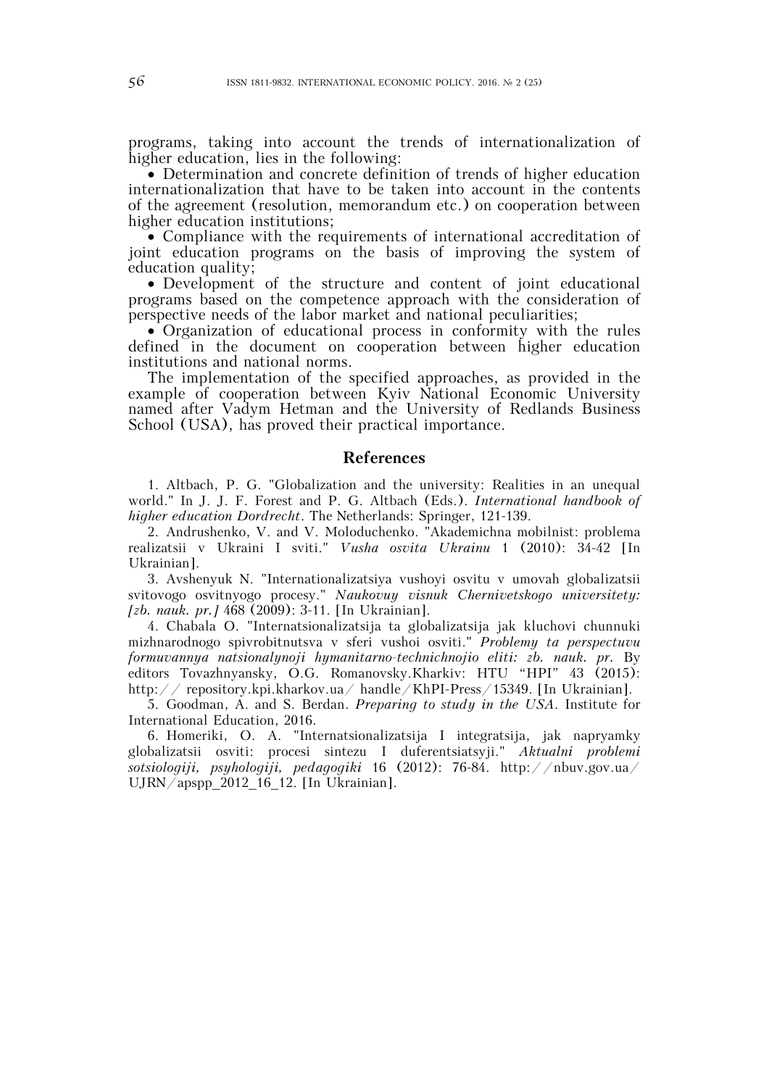programs, taking into account the trends of internationalization of higher education, lies in the following:

 Determination and concrete definition of trends of higher education internationalization that have to be taken into account in the contents of the agreement (resolution, memorandum etc.) on cooperation between higher education institutions;

 Compliance with the requirements of international accreditation of joint education programs on the basis of improving the system of education quality;

 Development of the structure and content of joint educational programs based on the competence approach with the consideration of perspective needs of the labor market and national peculiarities;

 Organization of educational process in conformity with the rules defined in the document on cooperation between higher education institutions and national norms.

The implementation of the specified approaches, as provided in the example of cooperation between Kyiv National Economic University named after Vadym Hetman and the University of Redlands Business School (USA), has proved their practical importance.

### **References**

1. Altbach, P. G. "Globalization and the university: Realities in an unequal world." In J. J. F. Forest and P. G. Altbach (Eds.). *International handbook of higher education Dordrecht*. The Netherlands: Springer, 121-139.

2. Andrushenko, V. and V. Moloduchenko. "Akademichna mobilnist: problema realizatsii v Ukraini I sviti." *Vusha osvita Ukrainu* 1 (2010): 34-42 [In Ukrainian].

3. Avshenyuk N. "Internationalizatsiya vushoyi osvitu v umovah globalizatsii svitovogo osvitnyogo procesy." *Naukovuy visnuk Chernivetskogo universitety: [zb. nauk. pr.]* 468 (2009): 3-11. [In Ukrainian].

4. Chabala O. "Internatsionalizatsija ta globalizatsija jak kluchovi chunnuki mizhnarodnogo spivrobitnutsva v sferi vushoi osviti." *Problemy ta perspectuvu formuvannya natsionalynoji hymanitarno-technichnojio eliti: zb. nauk. pr.* By editors Tovazhnyansky, O.G. Romanovsky.Kharkiv: HTU "HPI" 43 (2015): http:// repository.kpi.kharkov.ua/ handle/KhPI-Press/15349. [In Ukrainian].

5. Goodman, A. and S. Berdan. *Preparing to study in the USA*. Institute for International Education, 2016.

6. Homeriki, O. A. "Internatsionalizatsija I integratsija, jak napryamky globalizatsii osviti: procesi sintezu I duferentsiatsyji." *Aktualni problemi sotsiologiji, psyhologiji, pedagogiki* 16 (2012): 76-84. http://nbuv.gov.ua/ UJRN/apspp\_2012\_16\_12. [In Ukrainian].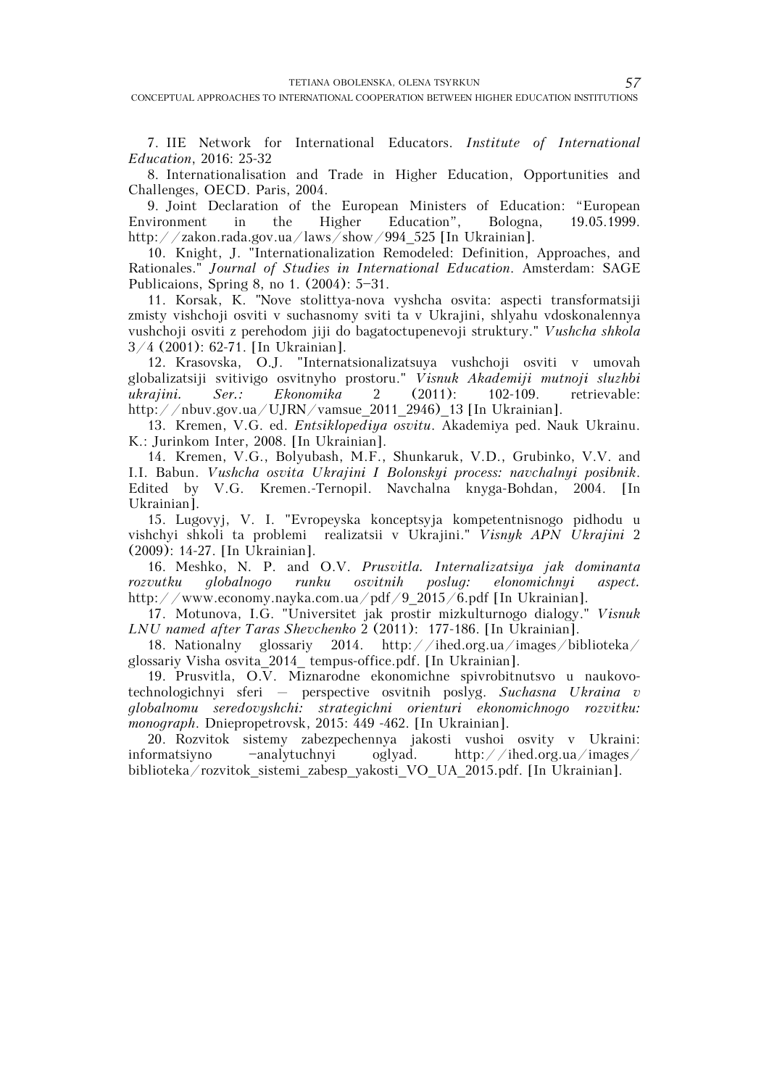CONCEPTUAL APPROACHES TO INTERNATIONAL COOPERATION BETWEEN HIGHER EDUCATION INSTITUTIONS

7. IIE Network for International Educators. *Institute of International Education*, 2016: 25-32

8. Internationalisation and Trade in Higher Education, Opportunities and Challenges, OECD. Paris, 2004.

9. Joint Declaration of the European Ministers of Education: "European Environment in the Higher Education", Bologna, 19.05.1999. http://zakon.rada.gov.ua/laws/show/994\_525 [In Ukrainian].

10. Knight, J. "Internationalization Remodeled: Definition, Approaches, and Rationales." *Journal of Studies in International Education*. Amsterdam: SAGE Publicaions, Spring 8, no 1. (2004): 5—31.

11. Korsak, K. "Nove stolittya-nova vyshcha osvita: aspecti transformatsiji zmisty vishchoji osviti v suchasnomy sviti ta v Ukrajini, shlyahu vdoskonalennya vushchoji osviti z perehodom jiji do bagatoctupenevoji struktury." *Vushcha shkola* 3/4 (2001): 62-71. [In Ukrainian].

12. Krasovska, O.J. "Internatsionalizatsuya vushchoji osviti v umovah globalizatsiji svitivigo osvitnyho prostoru." *Visnuk Akademiji mutnoji sluzhbi ukrajini. Ser.: Ekonomika* 2 (2011): 102-109. retrievable: http://nbuv.gov.ua/UJRN/vamsue\_2011\_2946)\_13 [In Ukrainian].

13. Kremen, V.G. ed. *Entsiklopediya osvitu*. Akademiya ped. Nauk Ukrainu. K.: Jurinkom Inter, 2008. [In Ukrainian].

14. Kremen, V.G., Bolyubash, M.F., Shunkaruk, V.D., Grubinko, V.V. and I.I. Babun. *Vushcha osvita Ukrajini I Bolonskyi process: navchalnyi posibnik*. Edited by V.G. Kremen.-Ternopil. Navchalna knyga-Bohdan, 2004. [In Ukrainian].

15. Lugovyj, V. I. "Evropeyska konceptsyja kompetentnisnogo pidhodu u vishchyi shkoli ta problemi realizatsii v Ukrajini." *Visnyk APN Ukrajini* 2 (2009): 14-27. [In Ukrainian].

16. Meshko, N. P. and O.V. *Prusvitla. Internalizatsiya jak dominanta rozvutku globalnogo runku osvitnih poslug: elonomichnyi aspect.* http://www.economy.nayka.com.ua/pdf/9\_2015/6.pdf [In Ukrainian].

17. Motunova, I.G. "Universitet jak prostir mizkulturnogo dialogy." *Visnuk LNU named after Taras Shevchenko* 2 (2011): 177-186. [In Ukrainian].

18. Nationalny glossariy 2014. http://ihed.org.ua/images/biblioteka/ glossariy Visha osvita\_2014\_ tempus-office.pdf. [In Ukrainian].

19. Prusvitla, O.V. Miznarodne ekonomichne spivrobitnutsvo u naukovotechnologichnyi sferi – perspective osvitnih poslyg. *Suchasna Ukraina v globalnomu seredovyshchi: strategichni orienturi ekonomichnogo rozvitku: monograph*. Dniepropetrovsk, 2015: 449 -462. [In Ukrainian].

20. Rozvitok sistemy zabezpechennya jakosti vushoi osvity v Ukraini: informatsiyno —analytuchnyi oglyad. http://ihed.org.ua/images/ biblioteka/rozvitok\_sistemi\_zabesp\_yakosti\_VO\_UA\_2015.pdf. [In Ukrainian].